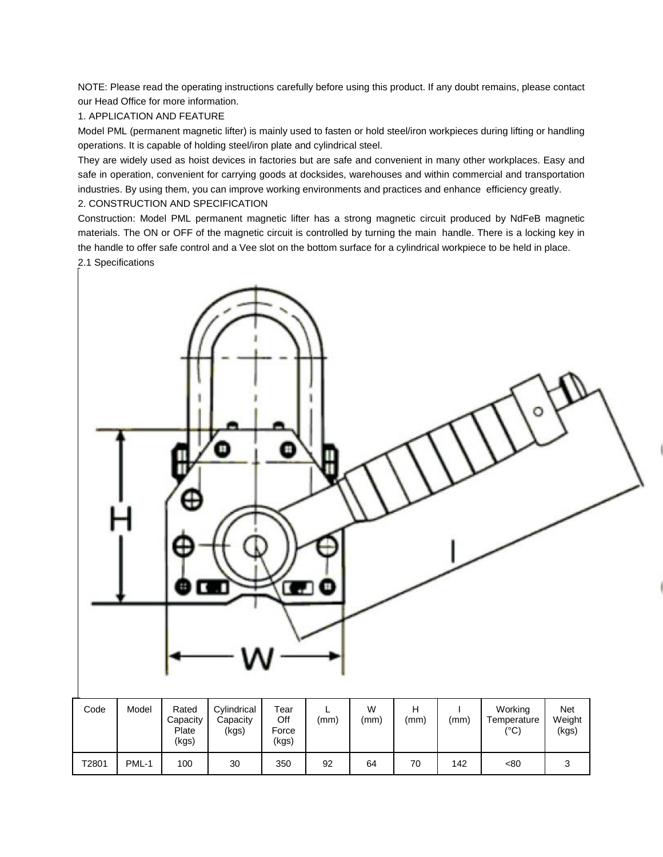NOTE: Please read the operating instructions carefully before using this product. If any doubt remains, please contact our Head Office for more information.

# 1. APPLICATION AND FEATURE

Model PML (permanent magnetic lifter) is mainly used to fasten or hold steel/iron workpieces during lifting or handling operations. It is capable of holding steel/iron plate and cylindrical steel.

They are widely used as hoist devices in factories but are safe and convenient in many other workplaces. Easy and safe in operation, convenient for carrying goods at docksides, warehouses and within commercial and transportation industries. By using them, you can improve working environments and practices and enhance efficiency greatly.

## 2. CONSTRUCTION AND SPECIFICATION

Construction: Model PML permanent magnetic lifter has a strong magnetic circuit produced by NdFeB magnetic materials. The ON or OFF of the magnetic circuit is controlled by turning the main handle. There is a locking key in the handle to offer safe control and a Vee slot on the bottom surface for a cylindrical workpiece to be held in place. 2.1 Specifications

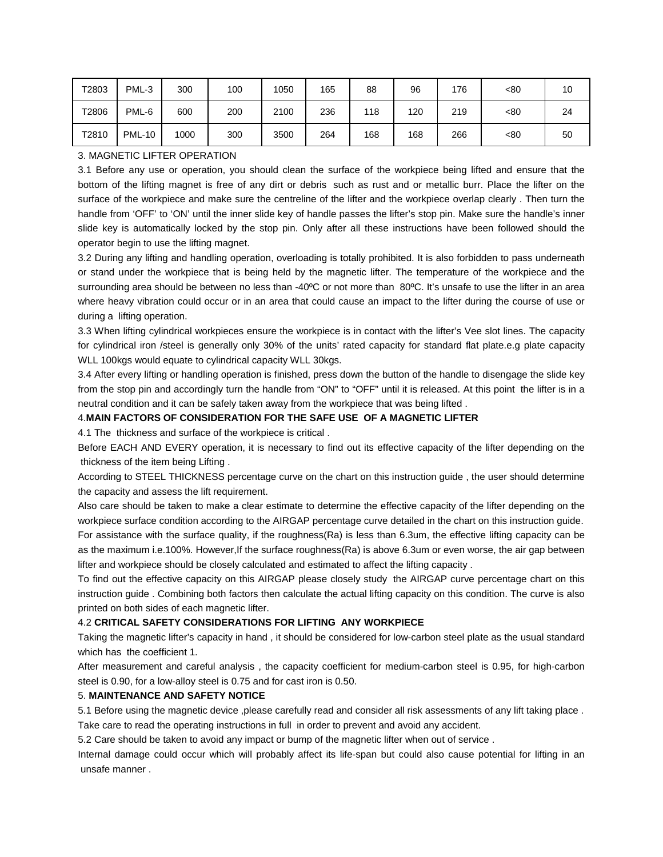| T2803 | PML-3         | 300  | 100 | 1050 | 165 | 88  | 96  | 176 | <80 | 10 |
|-------|---------------|------|-----|------|-----|-----|-----|-----|-----|----|
| T2806 | PML-6         | 600  | 200 | 2100 | 236 | 118 | 120 | 219 | <80 | 24 |
| T2810 | <b>PML-10</b> | 1000 | 300 | 3500 | 264 | 168 | 168 | 266 | <80 | 50 |

### 3. MAGNETIC LIFTER OPERATION

3.1 Before any use or operation, you should clean the surface of the workpiece being lifted and ensure that the bottom of the lifting magnet is free of any dirt or debris such as rust and or metallic burr. Place the lifter on the surface of the workpiece and make sure the centreline of the lifter and the workpiece overlap clearly . Then turn the handle from 'OFF' to 'ON' until the inner slide key of handle passes the lifter's stop pin. Make sure the handle's inner slide key is automatically locked by the stop pin. Only after all these instructions have been followed should the operator begin to use the lifting magnet.

3.2 During any lifting and handling operation, overloading is totally prohibited. It is also forbidden to pass underneath or stand under the workpiece that is being held by the magnetic lifter. The temperature of the workpiece and the surrounding area should be between no less than -40°C or not more than 80°C. It's unsafe to use the lifter in an area where heavy vibration could occur or in an area that could cause an impact to the lifter during the course of use or during a lifting operation.

3.3 When lifting cylindrical workpieces ensure the workpiece is in contact with the lifter's Vee slot lines. The capacity for cylindrical iron /steel is generally only 30% of the units' rated capacity for standard flat plate.e.g plate capacity WLL 100kgs would equate to cylindrical capacity WLL 30kgs.

3.4 After every lifting or handling operation is finished, press down the button of the handle to disengage the slide key from the stop pin and accordingly turn the handle from "ON" to "OFF" until it is released. At this point the lifter is in a neutral condition and it can be safely taken away from the workpiece that was being lifted .

#### 4.**MAIN FACTORS OF CONSIDERATION FOR THE SAFE USE OF A MAGNETIC LIFTER**

4.1 The thickness and surface of the workpiece is critical .

Before EACH AND EVERY operation, it is necessary to find out its effective capacity of the lifter depending on the thickness of the item being Lifting .

According to STEEL THICKNESS percentage curve on the chart on this instruction guide , the user should determine the capacity and assess the lift requirement.

Also care should be taken to make a clear estimate to determine the effective capacity of the lifter depending on the workpiece surface condition according to the AIRGAP percentage curve detailed in the chart on this instruction guide. For assistance with the surface quality, if the roughness(Ra) is less than 6.3um, the effective lifting capacity can be as the maximum i.e.100%. However,If the surface roughness(Ra) is above 6.3um or even worse, the air gap between lifter and workpiece should be closely calculated and estimated to affect the lifting capacity .

To find out the effective capacity on this AIRGAP please closely study the AIRGAP curve percentage chart on this instruction guide . Combining both factors then calculate the actual lifting capacity on this condition. The curve is also printed on both sides of each magnetic lifter.

#### 4.2 **CRITICAL SAFETY CONSIDERATIONS FOR LIFTING ANY WORKPIECE**

Taking the magnetic lifter's capacity in hand , it should be considered for low-carbon steel plate as the usual standard which has the coefficient 1.

After measurement and careful analysis , the capacity coefficient for medium-carbon steel is 0.95, for high-carbon steel is 0.90, for a low-alloy steel is 0.75 and for cast iron is 0.50.

#### 5. **MAINTENANCE AND SAFETY NOTICE**

5.1 Before using the magnetic device ,please carefully read and consider all risk assessments of any lift taking place . Take care to read the operating instructions in full in order to prevent and avoid any accident.

5.2 Care should be taken to avoid any impact or bump of the magnetic lifter when out of service .

Internal damage could occur which will probably affect its life-span but could also cause potential for lifting in an unsafe manner .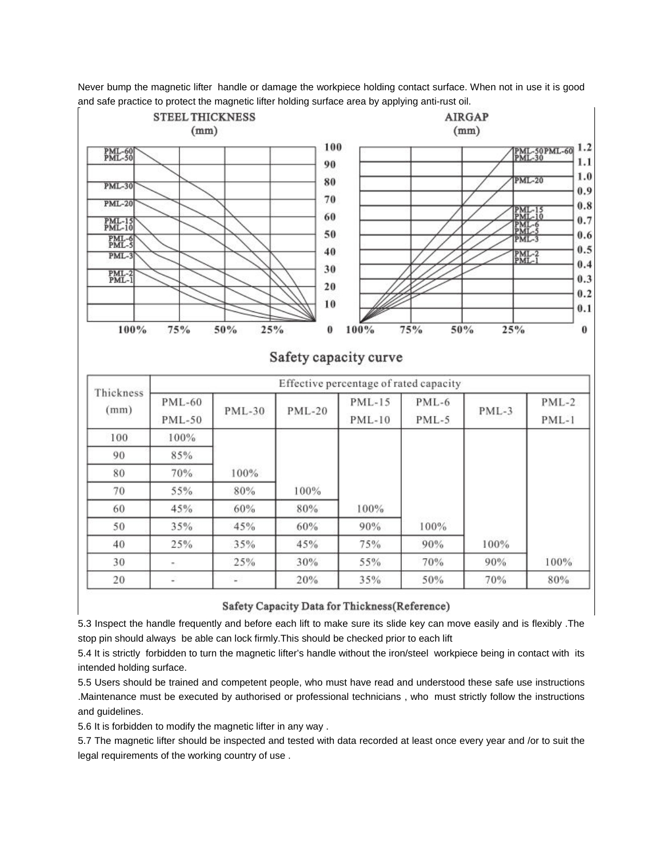

Never bump the magnetic lifter handle or damage the workpiece holding contact surface. When not in use it is good and safe practice to protect the magnetic lifter holding surface area by applying anti-rust oil.

## Safety Capacity Data for Thickness(Reference)

5.3 Inspect the handle frequently and before each lift to make sure its slide key can move easily and is flexibly .The stop pin should always be able can lock firmly.This should be checked prior to each lift

5.4 It is strictly forbidden to turn the magnetic lifter's handle without the iron/steel workpiece being in contact with its intended holding surface.

5.5 Users should be trained and competent people, who must have read and understood these safe use instructions .Maintenance must be executed by authorised or professional technicians , who must strictly follow the instructions and guidelines.

5.6 It is forbidden to modify the magnetic lifter in any way .

5.7 The magnetic lifter should be inspected and tested with data recorded at least once every year and /or to suit the legal requirements of the working country of use .